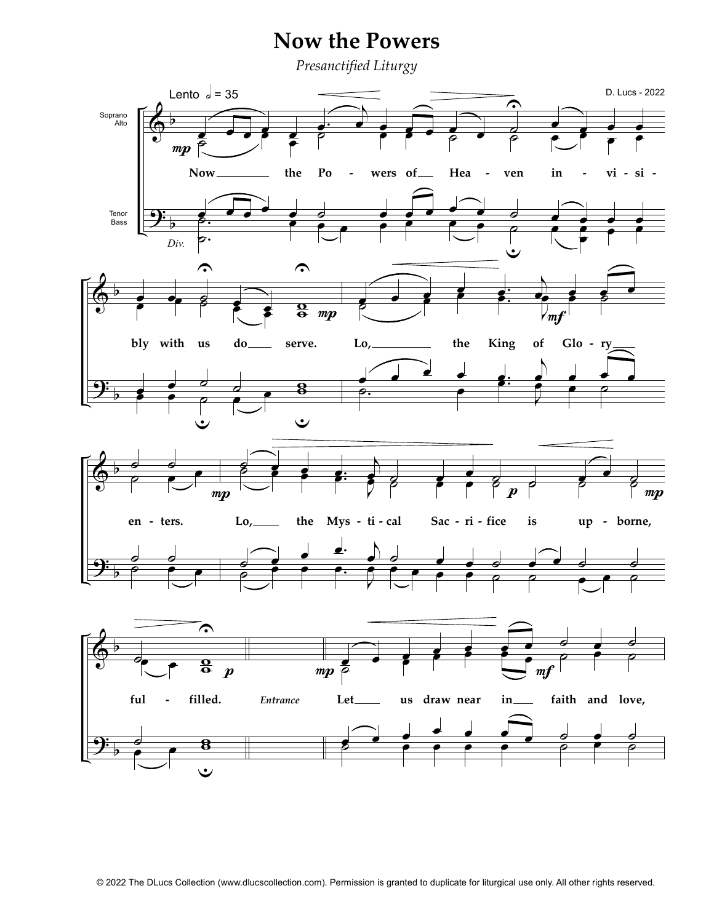## **Now the Powers**

Presanctified Liturgy